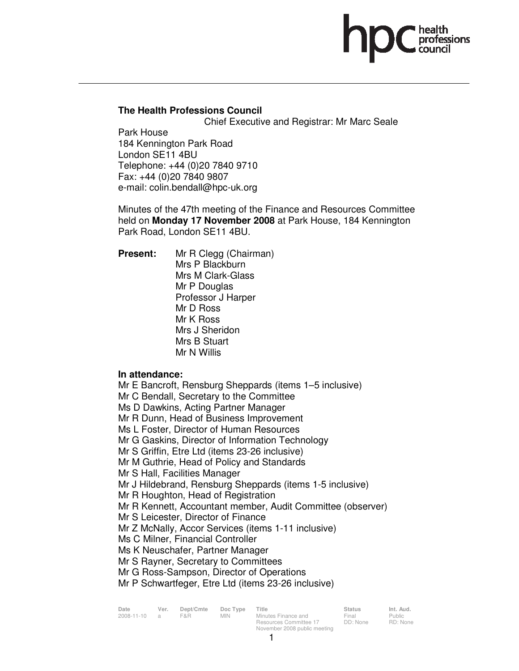# **The Health Professions Council**

Chief Executive and Registrar: Mr Marc Seale

Park House 184 Kennington Park Road London SE11 4BU Telephone: +44 (0)20 7840 9710 Fax: +44 (0)20 7840 9807 e-mail: colin.bendall@hpc-uk.org

Minutes of the 47th meeting of the Finance and Resources Committee held on **Monday 17 November 2008** at Park House, 184 Kennington Park Road, London SE11 4BU.

**Present:** Mr R Clegg (Chairman) Mrs P Blackburn Mrs M Clark-Glass Mr P Douglas Professor J Harper Mr D Ross Mr K Ross Mrs J Sheridon Mrs B Stuart Mr N Willis

# **In attendance:**

Mr E Bancroft, Rensburg Sheppards (items 1–5 inclusive) Mr C Bendall, Secretary to the Committee Ms D Dawkins, Acting Partner Manager Mr R Dunn, Head of Business Improvement Ms L Foster, Director of Human Resources Mr G Gaskins, Director of Information Technology Mr S Griffin, Etre Ltd (items 23-26 inclusive) Mr M Guthrie, Head of Policy and Standards Mr S Hall, Facilities Manager Mr J Hildebrand, Rensburg Sheppards (items 1-5 inclusive) Mr R Houghton, Head of Registration Mr R Kennett, Accountant member, Audit Committee (observer) Mr S Leicester, Director of Finance Mr Z McNally, Accor Services (items 1-11 inclusive) Ms C Milner, Financial Controller Ms K Neuschafer, Partner Manager Mr S Rayner, Secretary to Committees Mr G Ross-Sampson, Director of Operations

Mr P Schwartfeger, Etre Ltd (items 23-26 inclusive)

| Date       | Ver.           | Dept/Cmte | Doc Type | Title                        | <b>Status</b> | Int. Aud. |
|------------|----------------|-----------|----------|------------------------------|---------------|-----------|
| 2008-11-10 | $\overline{a}$ | F&R       | MIN.     | Minutes Finance and          | Final         | Public    |
|            |                |           |          | Resources Committee 17       | DD: None      | RD: Non   |
|            |                |           |          | November 2008 public meeting |               |           |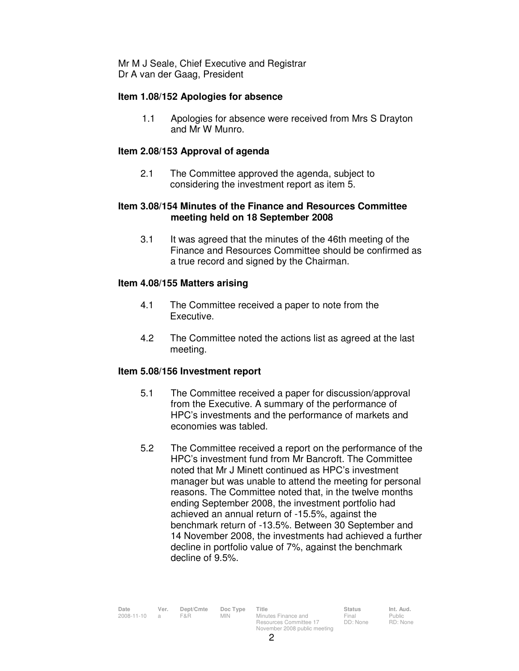Mr M J Seale, Chief Executive and Registrar Dr A van der Gaag, President

## **Item 1.08/152 Apologies for absence**

1.1 Apologies for absence were received from Mrs S Drayton and Mr W Munro.

## **Item 2.08/153 Approval of agenda**

 2.1 The Committee approved the agenda, subject to considering the investment report as item 5.

## **Item 3.08/154 Minutes of the Finance and Resources Committee meeting held on 18 September 2008**

3.1 It was agreed that the minutes of the 46th meeting of the Finance and Resources Committee should be confirmed as a true record and signed by the Chairman.

#### **Item 4.08/155 Matters arising**

- 4.1 The Committee received a paper to note from the Executive.
- 4.2 The Committee noted the actions list as agreed at the last meeting.

# **Item 5.08/156 Investment report**

- 5.1 The Committee received a paper for discussion/approval from the Executive. A summary of the performance of HPC's investments and the performance of markets and economies was tabled.
- 5.2 The Committee received a report on the performance of the HPC's investment fund from Mr Bancroft. The Committee noted that Mr J Minett continued as HPC's investment manager but was unable to attend the meeting for personal reasons. The Committee noted that, in the twelve months ending September 2008, the investment portfolio had achieved an annual return of -15.5%, against the benchmark return of -13.5%. Between 30 September and 14 November 2008, the investments had achieved a further decline in portfolio value of 7%, against the benchmark decline of 9.5%.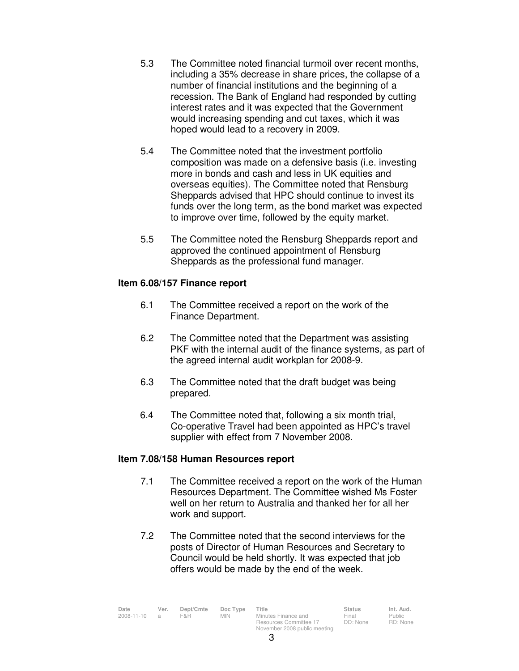- 5.3 The Committee noted financial turmoil over recent months, including a 35% decrease in share prices, the collapse of a number of financial institutions and the beginning of a recession. The Bank of England had responded by cutting interest rates and it was expected that the Government would increasing spending and cut taxes, which it was hoped would lead to a recovery in 2009.
- 5.4 The Committee noted that the investment portfolio composition was made on a defensive basis (i.e. investing more in bonds and cash and less in UK equities and overseas equities). The Committee noted that Rensburg Sheppards advised that HPC should continue to invest its funds over the long term, as the bond market was expected to improve over time, followed by the equity market.
- 5.5 The Committee noted the Rensburg Sheppards report and approved the continued appointment of Rensburg Sheppards as the professional fund manager.

# **Item 6.08/157 Finance report**

- 6.1 The Committee received a report on the work of the Finance Department.
- 6.2 The Committee noted that the Department was assisting PKF with the internal audit of the finance systems, as part of the agreed internal audit workplan for 2008-9.
- 6.3 The Committee noted that the draft budget was being prepared.
- 6.4 The Committee noted that, following a six month trial, Co-operative Travel had been appointed as HPC's travel supplier with effect from 7 November 2008.

# **Item 7.08/158 Human Resources report**

- 7.1 The Committee received a report on the work of the Human Resources Department. The Committee wished Ms Foster well on her return to Australia and thanked her for all her work and support.
- 7.2 The Committee noted that the second interviews for the posts of Director of Human Resources and Secretary to Council would be held shortly. It was expected that job offers would be made by the end of the week.

| Date               | Ver. | Dept/Cmte | Doc Type | Title                        | <b>Status</b> | Int. Aud.     |
|--------------------|------|-----------|----------|------------------------------|---------------|---------------|
| $2008 - 11 - 10$ a |      | F&R.      | MIN      | Minutes Finance and          | Final         | <b>Public</b> |
|                    |      |           |          | Resources Committee 17       | DD: None      | RD: Non       |
|                    |      |           |          | November 2008 public meeting |               |               |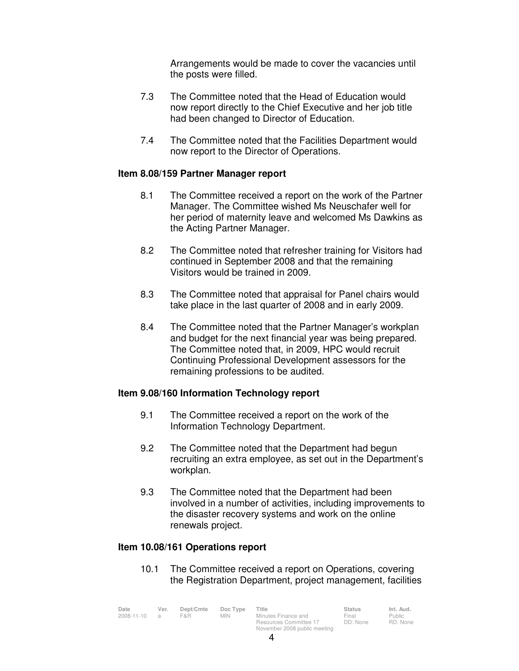Arrangements would be made to cover the vacancies until the posts were filled.

- 7.3 The Committee noted that the Head of Education would now report directly to the Chief Executive and her job title had been changed to Director of Education.
- 7.4 The Committee noted that the Facilities Department would now report to the Director of Operations.

#### **Item 8.08/159 Partner Manager report**

- 8.1 The Committee received a report on the work of the Partner Manager. The Committee wished Ms Neuschafer well for her period of maternity leave and welcomed Ms Dawkins as the Acting Partner Manager.
- 8.2 The Committee noted that refresher training for Visitors had continued in September 2008 and that the remaining Visitors would be trained in 2009.
- 8.3 The Committee noted that appraisal for Panel chairs would take place in the last quarter of 2008 and in early 2009.
- 8.4 The Committee noted that the Partner Manager's workplan and budget for the next financial year was being prepared. The Committee noted that, in 2009, HPC would recruit Continuing Professional Development assessors for the remaining professions to be audited.

#### **Item 9.08/160 Information Technology report**

- 9.1 The Committee received a report on the work of the Information Technology Department.
- 9.2 The Committee noted that the Department had begun recruiting an extra employee, as set out in the Department's workplan.
- 9.3 The Committee noted that the Department had been involved in a number of activities, including improvements to the disaster recovery systems and work on the online renewals project.

#### **Item 10.08/161 Operations report**

10.1 The Committee received a report on Operations, covering the Registration Department, project management, facilities

| Date       | Ver.           | Dept/Cmte | Doc Type | Title                        | <b>Status</b> | Int. Aud. |
|------------|----------------|-----------|----------|------------------------------|---------------|-----------|
| 2008-11-10 | $\overline{a}$ | F&R.      | MIN.     | Minutes Finance and          | Final         | Public    |
|            |                |           |          | Resources Committee 17       | DD: None      | RD: None  |
|            |                |           |          | November 2008 public meeting |               |           |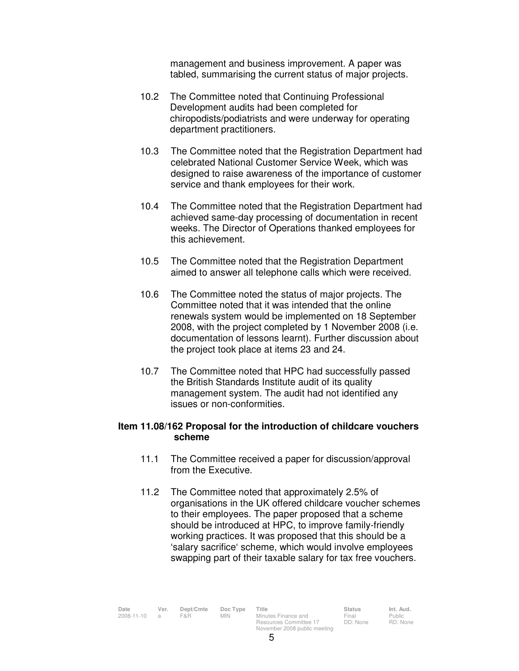management and business improvement. A paper was tabled, summarising the current status of major projects.

- 10.2 The Committee noted that Continuing Professional Development audits had been completed for chiropodists/podiatrists and were underway for operating department practitioners.
- 10.3 The Committee noted that the Registration Department had celebrated National Customer Service Week, which was designed to raise awareness of the importance of customer service and thank employees for their work.
- 10.4 The Committee noted that the Registration Department had achieved same-day processing of documentation in recent weeks. The Director of Operations thanked employees for this achievement.
- 10.5 The Committee noted that the Registration Department aimed to answer all telephone calls which were received.
- 10.6 The Committee noted the status of major projects. The Committee noted that it was intended that the online renewals system would be implemented on 18 September 2008, with the project completed by 1 November 2008 (i.e. documentation of lessons learnt). Further discussion about the project took place at items 23 and 24.
- 10.7 The Committee noted that HPC had successfully passed the British Standards Institute audit of its quality management system. The audit had not identified any issues or non-conformities.

## **Item 11.08/162 Proposal for the introduction of childcare vouchers scheme**

- 11.1 The Committee received a paper for discussion/approval from the Executive.
- 11.2 The Committee noted that approximately 2.5% of organisations in the UK offered childcare voucher schemes to their employees. The paper proposed that a scheme should be introduced at HPC, to improve family-friendly working practices. It was proposed that this should be a 'salary sacrifice' scheme, which would involve employees swapping part of their taxable salary for tax free vouchers.

Final DD: None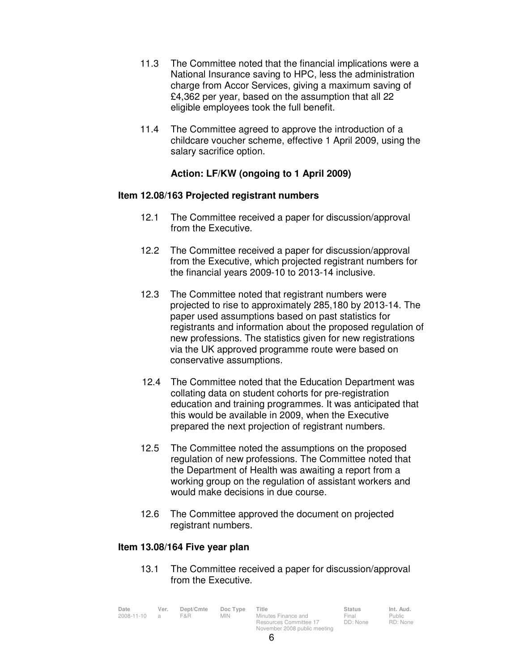- 11.3 The Committee noted that the financial implications were a National Insurance saving to HPC, less the administration charge from Accor Services, giving a maximum saving of £4,362 per year, based on the assumption that all 22 eligible employees took the full benefit.
- 11.4 The Committee agreed to approve the introduction of a childcare voucher scheme, effective 1 April 2009, using the salary sacrifice option.

# **Action: LF/KW (ongoing to 1 April 2009)**

#### **Item 12.08/163 Projected registrant numbers**

- 12.1 The Committee received a paper for discussion/approval from the Executive.
- 12.2 The Committee received a paper for discussion/approval from the Executive, which projected registrant numbers for the financial years 2009-10 to 2013-14 inclusive.
- 12.3 The Committee noted that registrant numbers were projected to rise to approximately 285,180 by 2013-14. The paper used assumptions based on past statistics for registrants and information about the proposed regulation of new professions. The statistics given for new registrations via the UK approved programme route were based on conservative assumptions.
- 12.4 The Committee noted that the Education Department was collating data on student cohorts for pre-registration education and training programmes. It was anticipated that this would be available in 2009, when the Executive prepared the next projection of registrant numbers.
- 12.5 The Committee noted the assumptions on the proposed regulation of new professions. The Committee noted that the Department of Health was awaiting a report from a working group on the regulation of assistant workers and would make decisions in due course.
- 12.6 The Committee approved the document on projected registrant numbers.

#### **Item 13.08/164 Five year plan**

13.1 The Committee received a paper for discussion/approval from the Executive.

| Date       | Ver. | Dept/Cmte | Doc Type   | Title                        | <b>Status</b> | Int. Aud. |
|------------|------|-----------|------------|------------------------------|---------------|-----------|
| 2008-11-10 |      | F&R       | <b>MIN</b> | Minutes Finance and          | Final         | Public    |
|            |      |           |            | Resources Committee 17       | DD: None      | RD: None  |
|            |      |           |            | November 2008 public meeting |               |           |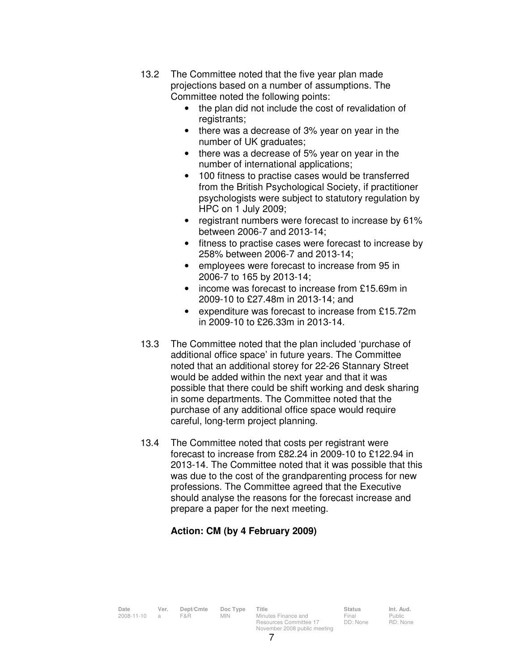- 13.2 The Committee noted that the five year plan made projections based on a number of assumptions. The Committee noted the following points:
	- the plan did not include the cost of revalidation of registrants;
	- there was a decrease of 3% year on year in the number of UK graduates;
	- there was a decrease of 5% year on year in the number of international applications;
	- 100 fitness to practise cases would be transferred from the British Psychological Society, if practitioner psychologists were subject to statutory regulation by HPC on 1 July 2009;
	- registrant numbers were forecast to increase by 61% between 2006-7 and 2013-14;
	- fitness to practise cases were forecast to increase by 258% between 2006-7 and 2013-14;
	- employees were forecast to increase from 95 in 2006-7 to 165 by 2013-14;
	- income was forecast to increase from £15.69m in 2009-10 to £27.48m in 2013-14; and
	- expenditure was forecast to increase from £15.72m in 2009-10 to £26.33m in 2013-14.
- 13.3 The Committee noted that the plan included 'purchase of additional office space' in future years. The Committee noted that an additional storey for 22-26 Stannary Street would be added within the next year and that it was possible that there could be shift working and desk sharing in some departments. The Committee noted that the purchase of any additional office space would require careful, long-term project planning.
- 13.4 The Committee noted that costs per registrant were forecast to increase from £82.24 in 2009-10 to £122.94 in 2013-14. The Committee noted that it was possible that this was due to the cost of the grandparenting process for new professions. The Committee agreed that the Executive should analyse the reasons for the forecast increase and prepare a paper for the next meeting.

# **Action: CM (by 4 February 2009)**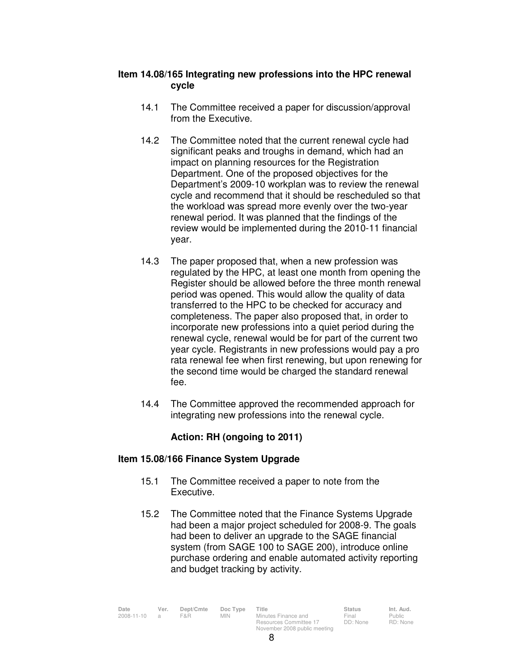# **Item 14.08/165 Integrating new professions into the HPC renewal cycle**

- 14.1 The Committee received a paper for discussion/approval from the Executive.
- 14.2 The Committee noted that the current renewal cycle had significant peaks and troughs in demand, which had an impact on planning resources for the Registration Department. One of the proposed objectives for the Department's 2009-10 workplan was to review the renewal cycle and recommend that it should be rescheduled so that the workload was spread more evenly over the two-year renewal period. It was planned that the findings of the review would be implemented during the 2010-11 financial year.
- 14.3 The paper proposed that, when a new profession was regulated by the HPC, at least one month from opening the Register should be allowed before the three month renewal period was opened. This would allow the quality of data transferred to the HPC to be checked for accuracy and completeness. The paper also proposed that, in order to incorporate new professions into a quiet period during the renewal cycle, renewal would be for part of the current two year cycle. Registrants in new professions would pay a pro rata renewal fee when first renewing, but upon renewing for the second time would be charged the standard renewal fee.
- 14.4 The Committee approved the recommended approach for integrating new professions into the renewal cycle.

# **Action: RH (ongoing to 2011)**

# **Item 15.08/166 Finance System Upgrade**

- 15.1 The Committee received a paper to note from the Executive.
- 15.2 The Committee noted that the Finance Systems Upgrade had been a major project scheduled for 2008-9. The goals had been to deliver an upgrade to the SAGE financial system (from SAGE 100 to SAGE 200), introduce online purchase ordering and enable automated activity reporting and budget tracking by activity.

| Date       | Ver.           | Dept/Cmte | Doc Type   | Title                        | <b>Status</b> | Int. Aud. |
|------------|----------------|-----------|------------|------------------------------|---------------|-----------|
| 2008-11-10 | $\overline{a}$ | F&R       | <b>MIN</b> | Minutes Finance and          | Final         | Public    |
|            |                |           |            | Resources Committee 17       | DD: None      | RD: Non   |
|            |                |           |            | November 2008 public meeting |               |           |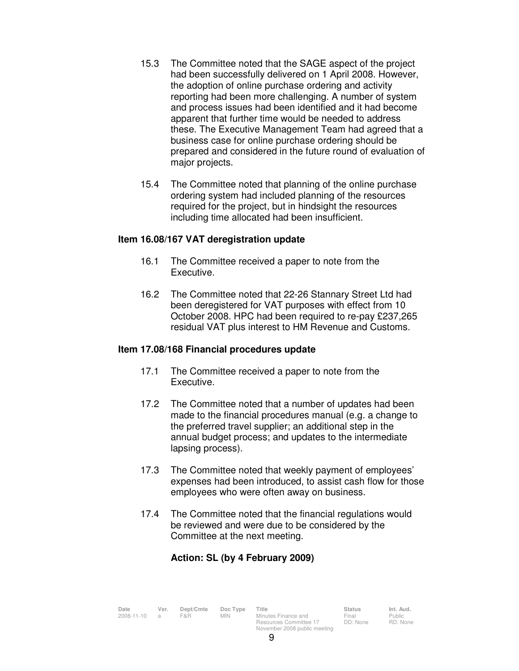- 15.3 The Committee noted that the SAGE aspect of the project had been successfully delivered on 1 April 2008. However, the adoption of online purchase ordering and activity reporting had been more challenging. A number of system and process issues had been identified and it had become apparent that further time would be needed to address these. The Executive Management Team had agreed that a business case for online purchase ordering should be prepared and considered in the future round of evaluation of major projects.
- 15.4 The Committee noted that planning of the online purchase ordering system had included planning of the resources required for the project, but in hindsight the resources including time allocated had been insufficient.

#### **Item 16.08/167 VAT deregistration update**

- 16.1 The Committee received a paper to note from the Executive.
- 16.2 The Committee noted that 22-26 Stannary Street Ltd had been deregistered for VAT purposes with effect from 10 October 2008. HPC had been required to re-pay £237,265 residual VAT plus interest to HM Revenue and Customs.

# **Item 17.08/168 Financial procedures update**

- 17.1 The Committee received a paper to note from the Executive.
- 17.2 The Committee noted that a number of updates had been made to the financial procedures manual (e.g. a change to the preferred travel supplier; an additional step in the annual budget process; and updates to the intermediate lapsing process).
- 17.3 The Committee noted that weekly payment of employees' expenses had been introduced, to assist cash flow for those employees who were often away on business.
- 17.4 The Committee noted that the financial regulations would be reviewed and were due to be considered by the Committee at the next meeting.

# **Action: SL (by 4 February 2009)**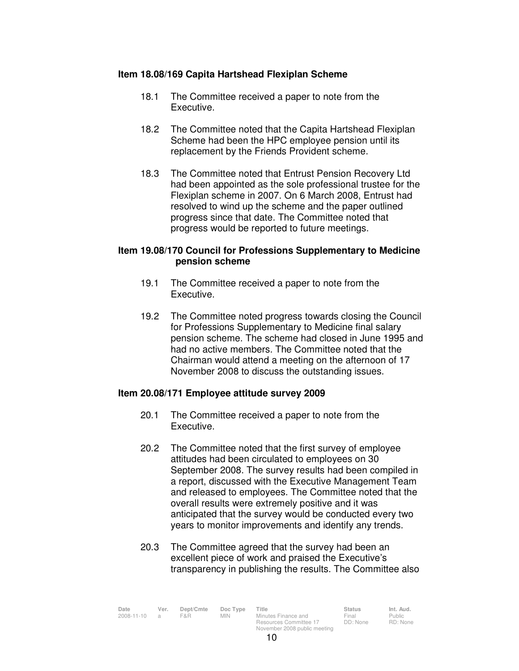## **Item 18.08/169 Capita Hartshead Flexiplan Scheme**

- 18.1 The Committee received a paper to note from the Executive.
- 18.2 The Committee noted that the Capita Hartshead Flexiplan Scheme had been the HPC employee pension until its replacement by the Friends Provident scheme.
- 18.3 The Committee noted that Entrust Pension Recovery Ltd had been appointed as the sole professional trustee for the Flexiplan scheme in 2007. On 6 March 2008, Entrust had resolved to wind up the scheme and the paper outlined progress since that date. The Committee noted that progress would be reported to future meetings.

## **Item 19.08/170 Council for Professions Supplementary to Medicine pension scheme**

- 19.1 The Committee received a paper to note from the Executive.
- 19.2 The Committee noted progress towards closing the Council for Professions Supplementary to Medicine final salary pension scheme. The scheme had closed in June 1995 and had no active members. The Committee noted that the Chairman would attend a meeting on the afternoon of 17 November 2008 to discuss the outstanding issues.

# **Item 20.08/171 Employee attitude survey 2009**

- 20.1 The Committee received a paper to note from the Executive.
- 20.2 The Committee noted that the first survey of employee attitudes had been circulated to employees on 30 September 2008. The survey results had been compiled in a report, discussed with the Executive Management Team and released to employees. The Committee noted that the overall results were extremely positive and it was anticipated that the survey would be conducted every two years to monitor improvements and identify any trends.
- 20.3 The Committee agreed that the survey had been an excellent piece of work and praised the Executive's transparency in publishing the results. The Committee also

| Date       | Ver.           | Dept/Cmte | Doc Type   | Title                        | <b>Status</b> | Int. Aud. |
|------------|----------------|-----------|------------|------------------------------|---------------|-----------|
| 2008-11-10 | $\overline{a}$ | F&R       | <b>MIN</b> | Minutes Finance and          | Final         | Public    |
|            |                |           |            | Resources Committee 17       | DD: None      | RD: None  |
|            |                |           |            | November 2008 public meeting |               |           |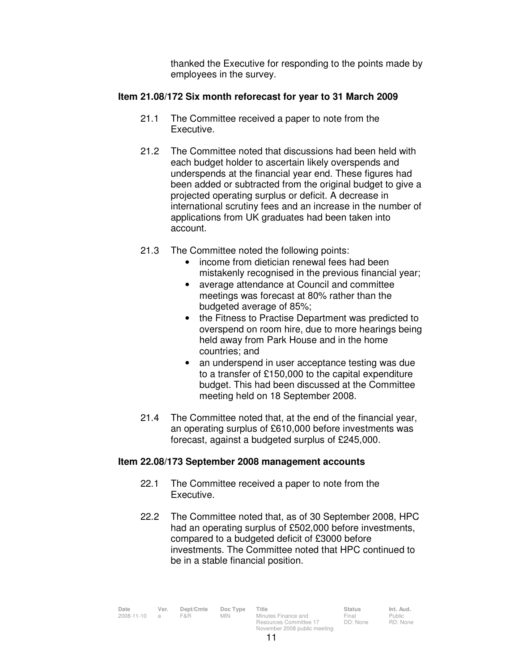thanked the Executive for responding to the points made by employees in the survey.

## **Item 21.08/172 Six month reforecast for year to 31 March 2009**

- 21.1 The Committee received a paper to note from the Executive.
- 21.2 The Committee noted that discussions had been held with each budget holder to ascertain likely overspends and underspends at the financial year end. These figures had been added or subtracted from the original budget to give a projected operating surplus or deficit. A decrease in international scrutiny fees and an increase in the number of applications from UK graduates had been taken into account.
- 21.3 The Committee noted the following points:
	- income from dietician renewal fees had been mistakenly recognised in the previous financial year;
	- average attendance at Council and committee meetings was forecast at 80% rather than the budgeted average of 85%;
	- the Fitness to Practise Department was predicted to overspend on room hire, due to more hearings being held away from Park House and in the home countries; and
	- an underspend in user acceptance testing was due to a transfer of £150,000 to the capital expenditure budget. This had been discussed at the Committee meeting held on 18 September 2008.
- 21.4 The Committee noted that, at the end of the financial year, an operating surplus of £610,000 before investments was forecast, against a budgeted surplus of £245,000.

#### **Item 22.08/173 September 2008 management accounts**

- 22.1 The Committee received a paper to note from the Executive.
- 22.2 The Committee noted that, as of 30 September 2008, HPC had an operating surplus of £502,000 before investments, compared to a budgeted deficit of £3000 before investments. The Committee noted that HPC continued to be in a stable financial position.

| Date       | Ver. | Dept/Cmte | Doc Type   | Title                                         | <b>Status</b>     | Int. Aud.                |
|------------|------|-----------|------------|-----------------------------------------------|-------------------|--------------------------|
| 2008-11-10 |      | F&R       | <b>MIN</b> | Minutes Finance and<br>Resources Committee 17 | Final<br>DD: None | <b>Public</b><br>RD: Non |
|            |      |           |            |                                               |                   |                          |
|            |      |           |            | November 2008 public meeting                  |                   |                          |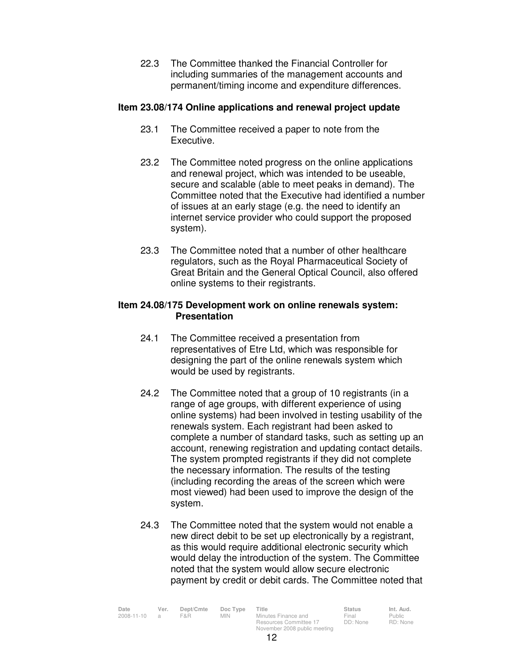22.3 The Committee thanked the Financial Controller for including summaries of the management accounts and permanent/timing income and expenditure differences.

# **Item 23.08/174 Online applications and renewal project update**

- 23.1 The Committee received a paper to note from the Executive.
- 23.2 The Committee noted progress on the online applications and renewal project, which was intended to be useable, secure and scalable (able to meet peaks in demand). The Committee noted that the Executive had identified a number of issues at an early stage (e.g. the need to identify an internet service provider who could support the proposed system).
- 23.3 The Committee noted that a number of other healthcare regulators, such as the Royal Pharmaceutical Society of Great Britain and the General Optical Council, also offered online systems to their registrants.

#### **Item 24.08/175 Development work on online renewals system: Presentation**

- 24.1 The Committee received a presentation from representatives of Etre Ltd, which was responsible for designing the part of the online renewals system which would be used by registrants.
- 24.2 The Committee noted that a group of 10 registrants (in a range of age groups, with different experience of using online systems) had been involved in testing usability of the renewals system. Each registrant had been asked to complete a number of standard tasks, such as setting up an account, renewing registration and updating contact details. The system prompted registrants if they did not complete the necessary information. The results of the testing (including recording the areas of the screen which were most viewed) had been used to improve the design of the system.
- 24.3 The Committee noted that the system would not enable a new direct debit to be set up electronically by a registrant, as this would require additional electronic security which would delay the introduction of the system. The Committee noted that the system would allow secure electronic payment by credit or debit cards. The Committee noted that

| Date       | Ver.           | Dept/Cmte<br>F&R. | Doc Type | Title                        | <b>Status</b><br>Final | Int. Aud. |
|------------|----------------|-------------------|----------|------------------------------|------------------------|-----------|
| 2008-11-10 | $\overline{a}$ |                   | MIN.     | Minutes Finance and          |                        | Public    |
|            |                |                   |          | Resources Committee 17       | DD: None               | RD: None  |
|            |                |                   |          | November 2008 public meeting |                        |           |